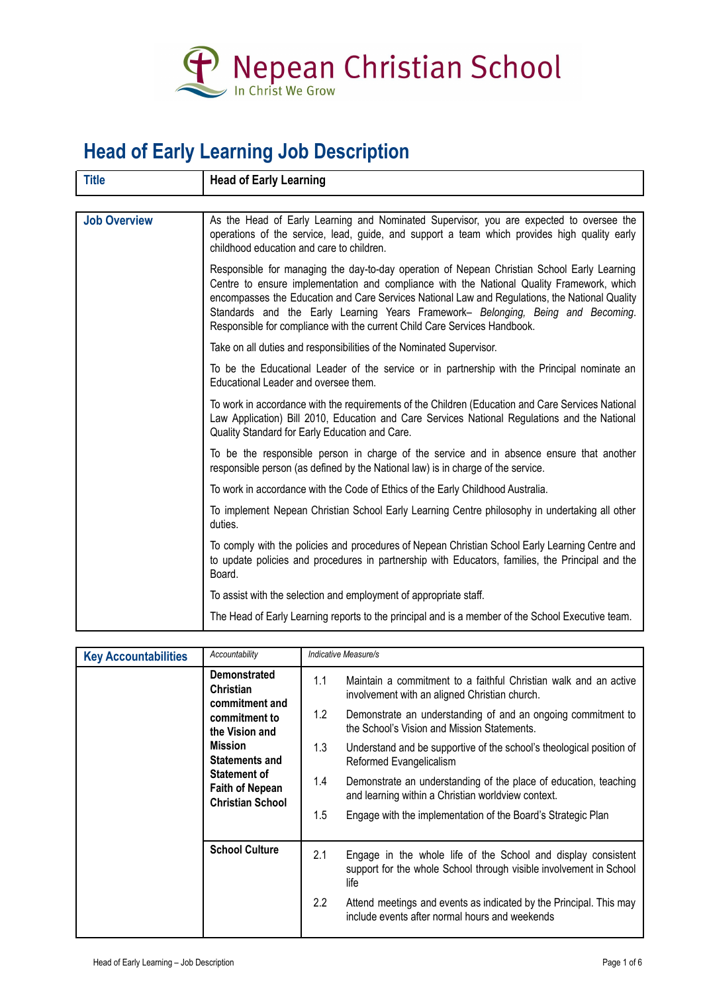

## **Head of Early Learning Job Description**

| <b>Title</b>        | <b>Head of Early Learning</b>                                                                                                                                                                                                                                                                                                                                                                                                                               |
|---------------------|-------------------------------------------------------------------------------------------------------------------------------------------------------------------------------------------------------------------------------------------------------------------------------------------------------------------------------------------------------------------------------------------------------------------------------------------------------------|
|                     |                                                                                                                                                                                                                                                                                                                                                                                                                                                             |
| <b>Job Overview</b> | As the Head of Early Learning and Nominated Supervisor, you are expected to oversee the<br>operations of the service, lead, guide, and support a team which provides high quality early<br>childhood education and care to children.                                                                                                                                                                                                                        |
|                     | Responsible for managing the day-to-day operation of Nepean Christian School Early Learning<br>Centre to ensure implementation and compliance with the National Quality Framework, which<br>encompasses the Education and Care Services National Law and Regulations, the National Quality<br>Standards and the Early Learning Years Framework- Belonging, Being and Becoming.<br>Responsible for compliance with the current Child Care Services Handbook. |
|                     | Take on all duties and responsibilities of the Nominated Supervisor.                                                                                                                                                                                                                                                                                                                                                                                        |
|                     | To be the Educational Leader of the service or in partnership with the Principal nominate an<br>Educational Leader and oversee them.                                                                                                                                                                                                                                                                                                                        |
|                     | To work in accordance with the requirements of the Children (Education and Care Services National<br>Law Application) Bill 2010, Education and Care Services National Regulations and the National<br>Quality Standard for Early Education and Care.                                                                                                                                                                                                        |
|                     | To be the responsible person in charge of the service and in absence ensure that another<br>responsible person (as defined by the National law) is in charge of the service.                                                                                                                                                                                                                                                                                |
|                     | To work in accordance with the Code of Ethics of the Early Childhood Australia.                                                                                                                                                                                                                                                                                                                                                                             |
|                     | To implement Nepean Christian School Early Learning Centre philosophy in undertaking all other<br>duties.                                                                                                                                                                                                                                                                                                                                                   |
|                     | To comply with the policies and procedures of Nepean Christian School Early Learning Centre and<br>to update policies and procedures in partnership with Educators, families, the Principal and the<br>Board.                                                                                                                                                                                                                                               |
|                     | To assist with the selection and employment of appropriate staff.                                                                                                                                                                                                                                                                                                                                                                                           |
|                     | The Head of Early Learning reports to the principal and is a member of the School Executive team.                                                                                                                                                                                                                                                                                                                                                           |

| <b>Key Accountabilities</b>                                                                       | Accountability                                            | Indicative Measure/s                                                                                                                        |                                                                                                                   |
|---------------------------------------------------------------------------------------------------|-----------------------------------------------------------|---------------------------------------------------------------------------------------------------------------------------------------------|-------------------------------------------------------------------------------------------------------------------|
|                                                                                                   | <b>Demonstrated</b><br><b>Christian</b><br>commitment and | 1.1                                                                                                                                         | Maintain a commitment to a faithful Christian walk and an active<br>involvement with an aligned Christian church. |
| commitment to<br>the Vision and                                                                   | 1.2                                                       | Demonstrate an understanding of and an ongoing commitment to<br>the School's Vision and Mission Statements.                                 |                                                                                                                   |
|                                                                                                   | <b>Mission</b><br><b>Statements and</b>                   | 1.3                                                                                                                                         | Understand and be supportive of the school's theological position of<br>Reformed Evangelicalism                   |
| <b>Statement of</b><br><b>Faith of Nepean</b><br><b>Christian School</b><br><b>School Culture</b> | 1.4                                                       | Demonstrate an understanding of the place of education, teaching<br>and learning within a Christian worldview context.                      |                                                                                                                   |
|                                                                                                   | $1.5\,$                                                   | Engage with the implementation of the Board's Strategic Plan                                                                                |                                                                                                                   |
|                                                                                                   | 2.1                                                       | Engage in the whole life of the School and display consistent<br>support for the whole School through visible involvement in School<br>life |                                                                                                                   |
|                                                                                                   | 2.2                                                       | Attend meetings and events as indicated by the Principal. This may<br>include events after normal hours and weekends                        |                                                                                                                   |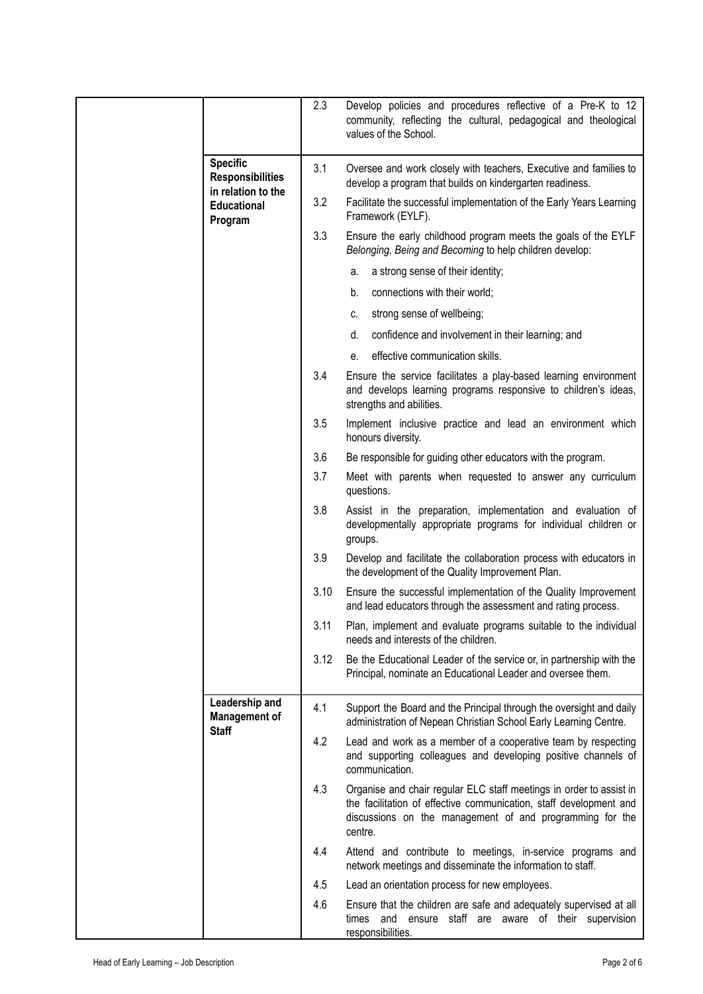|                                                        | 2.3  | Develop policies and procedures reflective of a Pre-K to 12<br>community, reflecting the cultural, pedagogical and theological<br>values of the School.                                                          |
|--------------------------------------------------------|------|------------------------------------------------------------------------------------------------------------------------------------------------------------------------------------------------------------------|
| <b>Specific</b><br><b>Responsibilities</b>             | 3.1  | Oversee and work closely with teachers, Executive and families to<br>develop a program that builds on kindergarten readiness.                                                                                    |
| in relation to the<br><b>Educational</b><br>Program    | 3.2  | Facilitate the successful implementation of the Early Years Learning<br>Framework (EYLF).                                                                                                                        |
|                                                        | 3.3  | Ensure the early childhood program meets the goals of the EYLF<br>Belonging, Being and Becoming to help children develop:                                                                                        |
|                                                        |      | a strong sense of their identity;<br>a.                                                                                                                                                                          |
|                                                        |      | connections with their world;<br>b.                                                                                                                                                                              |
|                                                        |      | strong sense of wellbeing;<br>C.                                                                                                                                                                                 |
|                                                        |      | d.<br>confidence and involvement in their learning; and                                                                                                                                                          |
|                                                        |      | effective communication skills.<br>е.                                                                                                                                                                            |
|                                                        | 3.4  | Ensure the service facilitates a play-based learning environment<br>and develops learning programs responsive to children's ideas,<br>strengths and abilities.                                                   |
|                                                        | 3.5  | Implement inclusive practice and lead an environment which<br>honours diversity.                                                                                                                                 |
|                                                        | 3.6  | Be responsible for guiding other educators with the program.                                                                                                                                                     |
|                                                        | 3.7  | Meet with parents when requested to answer any curriculum<br>questions.                                                                                                                                          |
|                                                        | 3.8  | Assist in the preparation, implementation and evaluation of<br>developmentally appropriate programs for individual children or<br>groups.                                                                        |
|                                                        | 3.9  | Develop and facilitate the collaboration process with educators in<br>the development of the Quality Improvement Plan.                                                                                           |
|                                                        | 3.10 | Ensure the successful implementation of the Quality Improvement<br>and lead educators through the assessment and rating process.                                                                                 |
|                                                        | 3.11 | Plan, implement and evaluate programs suitable to the individual<br>needs and interests of the children.                                                                                                         |
|                                                        | 3.12 | Be the Educational Leader of the service or, in partnership with the<br>Principal, nominate an Educational Leader and oversee them.                                                                              |
| Leadership and<br><b>Management of</b><br><b>Staff</b> | 4.1  | Support the Board and the Principal through the oversight and daily<br>administration of Nepean Christian School Early Learning Centre.                                                                          |
|                                                        | 4.2  | Lead and work as a member of a cooperative team by respecting<br>and supporting colleagues and developing positive channels of<br>communication.                                                                 |
|                                                        | 4.3  | Organise and chair regular ELC staff meetings in order to assist in<br>the facilitation of effective communication, staff development and<br>discussions on the management of and programming for the<br>centre. |
|                                                        | 4.4  | Attend and contribute to meetings, in-service programs and<br>network meetings and disseminate the information to staff.                                                                                         |
|                                                        | 4.5  | Lead an orientation process for new employees.                                                                                                                                                                   |
|                                                        | 4.6  | Ensure that the children are safe and adequately supervised at all<br>times and ensure staff are aware of their supervision<br>responsibilities.                                                                 |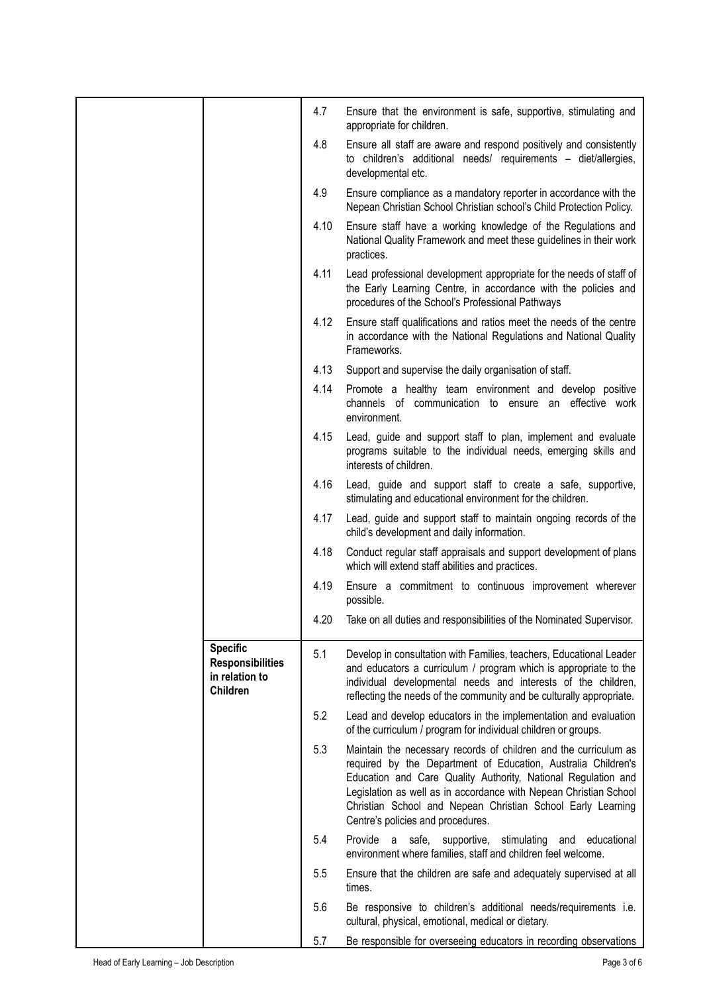|                                                                                 | 4.7  | Ensure that the environment is safe, supportive, stimulating and<br>appropriate for children.                                                                                                                                                                                                                                                                               |
|---------------------------------------------------------------------------------|------|-----------------------------------------------------------------------------------------------------------------------------------------------------------------------------------------------------------------------------------------------------------------------------------------------------------------------------------------------------------------------------|
|                                                                                 | 4.8  | Ensure all staff are aware and respond positively and consistently<br>to children's additional needs/ requirements - diet/allergies,<br>developmental etc.                                                                                                                                                                                                                  |
|                                                                                 | 4.9  | Ensure compliance as a mandatory reporter in accordance with the<br>Nepean Christian School Christian school's Child Protection Policy.                                                                                                                                                                                                                                     |
|                                                                                 | 4.10 | Ensure staff have a working knowledge of the Regulations and<br>National Quality Framework and meet these guidelines in their work<br>practices.                                                                                                                                                                                                                            |
|                                                                                 | 4.11 | Lead professional development appropriate for the needs of staff of<br>the Early Learning Centre, in accordance with the policies and<br>procedures of the School's Professional Pathways                                                                                                                                                                                   |
|                                                                                 | 4.12 | Ensure staff qualifications and ratios meet the needs of the centre<br>in accordance with the National Regulations and National Quality<br>Frameworks.                                                                                                                                                                                                                      |
|                                                                                 | 4.13 | Support and supervise the daily organisation of staff.                                                                                                                                                                                                                                                                                                                      |
|                                                                                 | 4.14 | Promote a healthy team environment and develop positive<br>channels of communication to ensure an effective work<br>environment.                                                                                                                                                                                                                                            |
|                                                                                 | 4.15 | Lead, guide and support staff to plan, implement and evaluate<br>programs suitable to the individual needs, emerging skills and<br>interests of children.                                                                                                                                                                                                                   |
|                                                                                 | 4.16 | Lead, guide and support staff to create a safe, supportive,<br>stimulating and educational environment for the children.                                                                                                                                                                                                                                                    |
|                                                                                 | 4.17 | Lead, guide and support staff to maintain ongoing records of the<br>child's development and daily information.                                                                                                                                                                                                                                                              |
|                                                                                 | 4.18 | Conduct regular staff appraisals and support development of plans<br>which will extend staff abilities and practices.                                                                                                                                                                                                                                                       |
|                                                                                 | 4.19 | Ensure a commitment to continuous improvement wherever<br>possible.                                                                                                                                                                                                                                                                                                         |
|                                                                                 | 4.20 | Take on all duties and responsibilities of the Nominated Supervisor.                                                                                                                                                                                                                                                                                                        |
| <b>Specific</b><br><b>Responsibilities</b><br>in relation to<br><b>Children</b> | 5.1  | Develop in consultation with Families, teachers, Educational Leader<br>and educators a curriculum / program which is appropriate to the<br>individual developmental needs and interests of the children,<br>reflecting the needs of the community and be culturally appropriate.                                                                                            |
|                                                                                 | 5.2  | Lead and develop educators in the implementation and evaluation<br>of the curriculum / program for individual children or groups.                                                                                                                                                                                                                                           |
|                                                                                 | 5.3  | Maintain the necessary records of children and the curriculum as<br>required by the Department of Education, Australia Children's<br>Education and Care Quality Authority, National Regulation and<br>Legislation as well as in accordance with Nepean Christian School<br>Christian School and Nepean Christian School Early Learning<br>Centre's policies and procedures. |
|                                                                                 | 5.4  | Provide a safe,<br>supportive, stimulating<br>educational<br>and<br>environment where families, staff and children feel welcome.                                                                                                                                                                                                                                            |
|                                                                                 | 5.5  | Ensure that the children are safe and adequately supervised at all<br>times.                                                                                                                                                                                                                                                                                                |
|                                                                                 | 5.6  | Be responsive to children's additional needs/requirements i.e.<br>cultural, physical, emotional, medical or dietary.                                                                                                                                                                                                                                                        |
|                                                                                 | 5.7  | Be responsible for overseeing educators in recording observations                                                                                                                                                                                                                                                                                                           |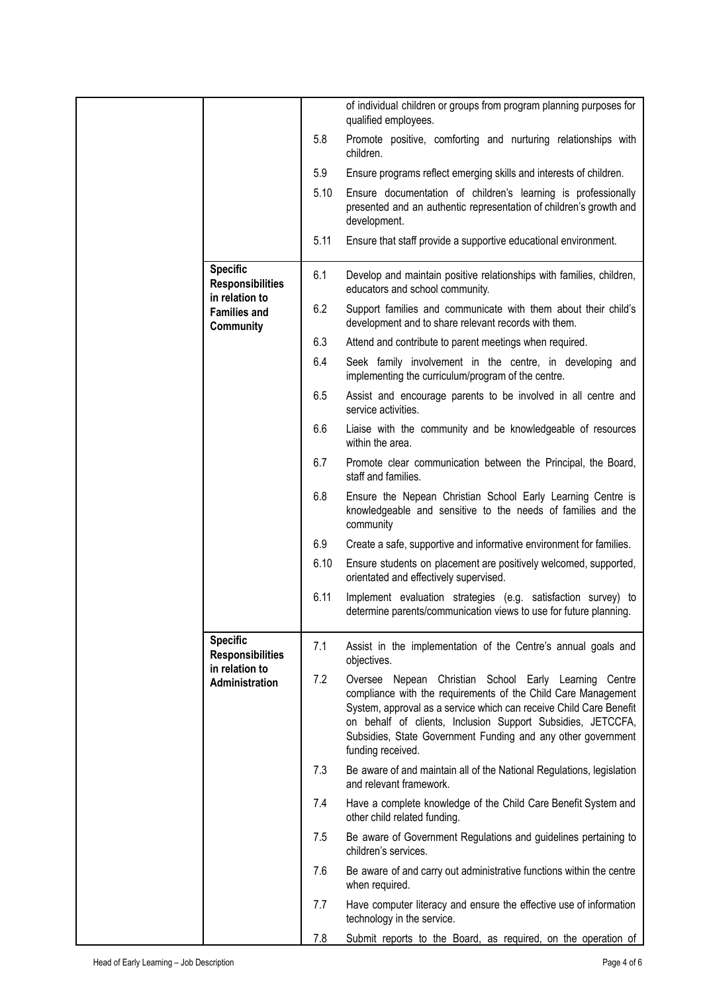|                                  |                                                              |                                                                                                                                                                                                                                                                                                                                                  | of individual children or groups from program planning purposes for<br>qualified employees.                                                         |
|----------------------------------|--------------------------------------------------------------|--------------------------------------------------------------------------------------------------------------------------------------------------------------------------------------------------------------------------------------------------------------------------------------------------------------------------------------------------|-----------------------------------------------------------------------------------------------------------------------------------------------------|
|                                  |                                                              | 5.8                                                                                                                                                                                                                                                                                                                                              | Promote positive, comforting and nurturing relationships with<br>children.                                                                          |
|                                  |                                                              | 5.9                                                                                                                                                                                                                                                                                                                                              | Ensure programs reflect emerging skills and interests of children.                                                                                  |
|                                  |                                                              | 5.10                                                                                                                                                                                                                                                                                                                                             | Ensure documentation of children's learning is professionally<br>presented and an authentic representation of children's growth and<br>development. |
|                                  |                                                              | 5.11                                                                                                                                                                                                                                                                                                                                             | Ensure that staff provide a supportive educational environment.                                                                                     |
|                                  | <b>Specific</b><br><b>Responsibilities</b><br>in relation to | 6.1                                                                                                                                                                                                                                                                                                                                              | Develop and maintain positive relationships with families, children,<br>educators and school community.                                             |
|                                  | <b>Families and</b><br><b>Community</b>                      | 6.2                                                                                                                                                                                                                                                                                                                                              | Support families and communicate with them about their child's<br>development and to share relevant records with them.                              |
|                                  |                                                              | 6.3                                                                                                                                                                                                                                                                                                                                              | Attend and contribute to parent meetings when required.                                                                                             |
|                                  |                                                              | 6.4                                                                                                                                                                                                                                                                                                                                              | Seek family involvement in the centre, in developing and<br>implementing the curriculum/program of the centre.                                      |
|                                  |                                                              | 6.5                                                                                                                                                                                                                                                                                                                                              | Assist and encourage parents to be involved in all centre and<br>service activities.                                                                |
|                                  |                                                              | 6.6                                                                                                                                                                                                                                                                                                                                              | Liaise with the community and be knowledgeable of resources<br>within the area.                                                                     |
|                                  |                                                              | 6.7                                                                                                                                                                                                                                                                                                                                              | Promote clear communication between the Principal, the Board,<br>staff and families.                                                                |
|                                  |                                                              | 6.8                                                                                                                                                                                                                                                                                                                                              | Ensure the Nepean Christian School Early Learning Centre is<br>knowledgeable and sensitive to the needs of families and the<br>community            |
|                                  |                                                              | 6.9                                                                                                                                                                                                                                                                                                                                              | Create a safe, supportive and informative environment for families.                                                                                 |
|                                  |                                                              | 6.10                                                                                                                                                                                                                                                                                                                                             | Ensure students on placement are positively welcomed, supported,<br>orientated and effectively supervised.                                          |
|                                  |                                                              | 6.11                                                                                                                                                                                                                                                                                                                                             | Implement evaluation strategies (e.g. satisfaction survey) to<br>determine parents/communication views to use for future planning.                  |
|                                  | <b>Specific</b><br><b>Responsibilities</b>                   | 7.1                                                                                                                                                                                                                                                                                                                                              | Assist in the implementation of the Centre's annual goals and<br>objectives.                                                                        |
| in relation to<br>Administration | 7.2                                                          | Oversee Nepean Christian School Early Learning Centre<br>compliance with the requirements of the Child Care Management<br>System, approval as a service which can receive Child Care Benefit<br>on behalf of clients, Inclusion Support Subsidies, JETCCFA,<br>Subsidies, State Government Funding and any other government<br>funding received. |                                                                                                                                                     |
|                                  |                                                              | 7.3                                                                                                                                                                                                                                                                                                                                              | Be aware of and maintain all of the National Regulations, legislation<br>and relevant framework.                                                    |
|                                  |                                                              | 7.4                                                                                                                                                                                                                                                                                                                                              | Have a complete knowledge of the Child Care Benefit System and<br>other child related funding.                                                      |
|                                  |                                                              | 7.5                                                                                                                                                                                                                                                                                                                                              | Be aware of Government Regulations and guidelines pertaining to<br>children's services.                                                             |
|                                  |                                                              | 7.6                                                                                                                                                                                                                                                                                                                                              | Be aware of and carry out administrative functions within the centre<br>when required.                                                              |
|                                  |                                                              | 7.7                                                                                                                                                                                                                                                                                                                                              | Have computer literacy and ensure the effective use of information<br>technology in the service.                                                    |
|                                  |                                                              | 7.8                                                                                                                                                                                                                                                                                                                                              | Submit reports to the Board, as required, on the operation of                                                                                       |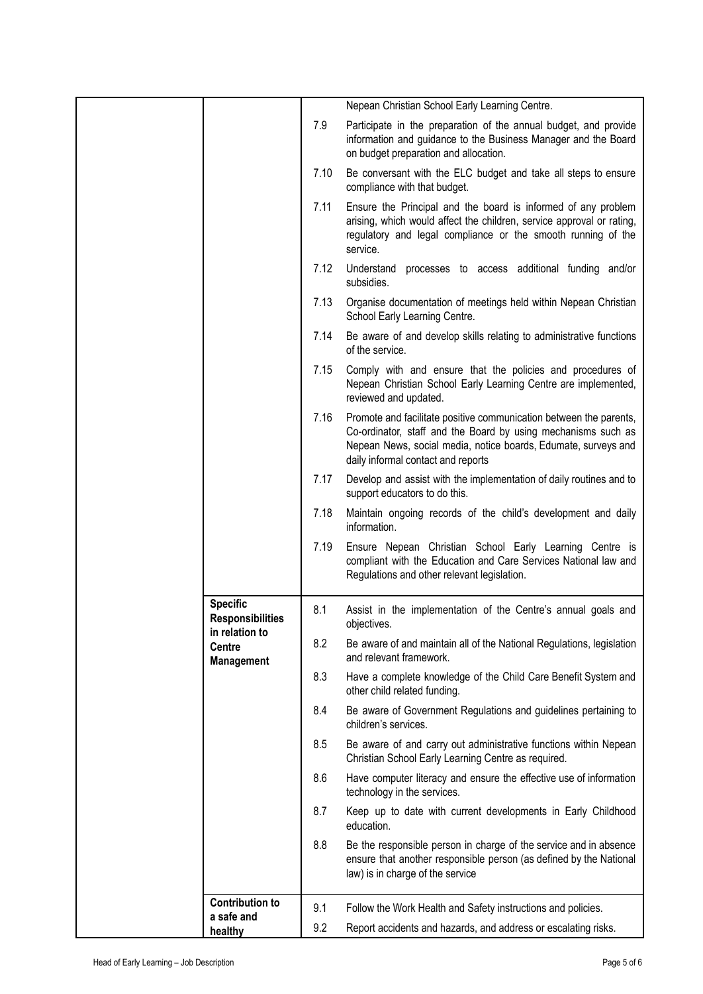|                                                              |      | Nepean Christian School Early Learning Centre.                                                                                                                                                                                              |
|--------------------------------------------------------------|------|---------------------------------------------------------------------------------------------------------------------------------------------------------------------------------------------------------------------------------------------|
|                                                              | 7.9  | Participate in the preparation of the annual budget, and provide<br>information and guidance to the Business Manager and the Board<br>on budget preparation and allocation.                                                                 |
|                                                              | 7.10 | Be conversant with the ELC budget and take all steps to ensure<br>compliance with that budget.                                                                                                                                              |
|                                                              | 7.11 | Ensure the Principal and the board is informed of any problem<br>arising, which would affect the children, service approval or rating,<br>regulatory and legal compliance or the smooth running of the<br>service.                          |
|                                                              | 7.12 | Understand processes to access additional funding and/or<br>subsidies.                                                                                                                                                                      |
|                                                              | 7.13 | Organise documentation of meetings held within Nepean Christian<br>School Early Learning Centre.                                                                                                                                            |
|                                                              | 7.14 | Be aware of and develop skills relating to administrative functions<br>of the service.                                                                                                                                                      |
|                                                              | 7.15 | Comply with and ensure that the policies and procedures of<br>Nepean Christian School Early Learning Centre are implemented,<br>reviewed and updated.                                                                                       |
|                                                              | 7.16 | Promote and facilitate positive communication between the parents,<br>Co-ordinator, staff and the Board by using mechanisms such as<br>Nepean News, social media, notice boards, Edumate, surveys and<br>daily informal contact and reports |
|                                                              | 7.17 | Develop and assist with the implementation of daily routines and to<br>support educators to do this.                                                                                                                                        |
|                                                              | 7.18 | Maintain ongoing records of the child's development and daily<br>information.                                                                                                                                                               |
|                                                              | 7.19 | Ensure Nepean Christian School Early Learning Centre is<br>compliant with the Education and Care Services National law and<br>Regulations and other relevant legislation.                                                                   |
| <b>Specific</b><br><b>Responsibilities</b><br>in relation to | 8.1  | Assist in the implementation of the Centre's annual goals and<br>objectives.                                                                                                                                                                |
| Centre<br><b>Management</b>                                  | 8.2  | Be aware of and maintain all of the National Regulations, legislation<br>and relevant framework.                                                                                                                                            |
|                                                              | 8.3  | Have a complete knowledge of the Child Care Benefit System and<br>other child related funding.                                                                                                                                              |
|                                                              | 8.4  | Be aware of Government Regulations and guidelines pertaining to<br>children's services.                                                                                                                                                     |
|                                                              | 8.5  | Be aware of and carry out administrative functions within Nepean<br>Christian School Early Learning Centre as required.                                                                                                                     |
|                                                              | 8.6  | Have computer literacy and ensure the effective use of information<br>technology in the services.                                                                                                                                           |
|                                                              | 8.7  | Keep up to date with current developments in Early Childhood<br>education.                                                                                                                                                                  |
|                                                              | 8.8  | Be the responsible person in charge of the service and in absence<br>ensure that another responsible person (as defined by the National<br>law) is in charge of the service                                                                 |
| <b>Contribution to</b>                                       | 9.1  | Follow the Work Health and Safety instructions and policies.                                                                                                                                                                                |
| a safe and                                                   |      |                                                                                                                                                                                                                                             |
| healthy                                                      | 9.2  | Report accidents and hazards, and address or escalating risks.                                                                                                                                                                              |